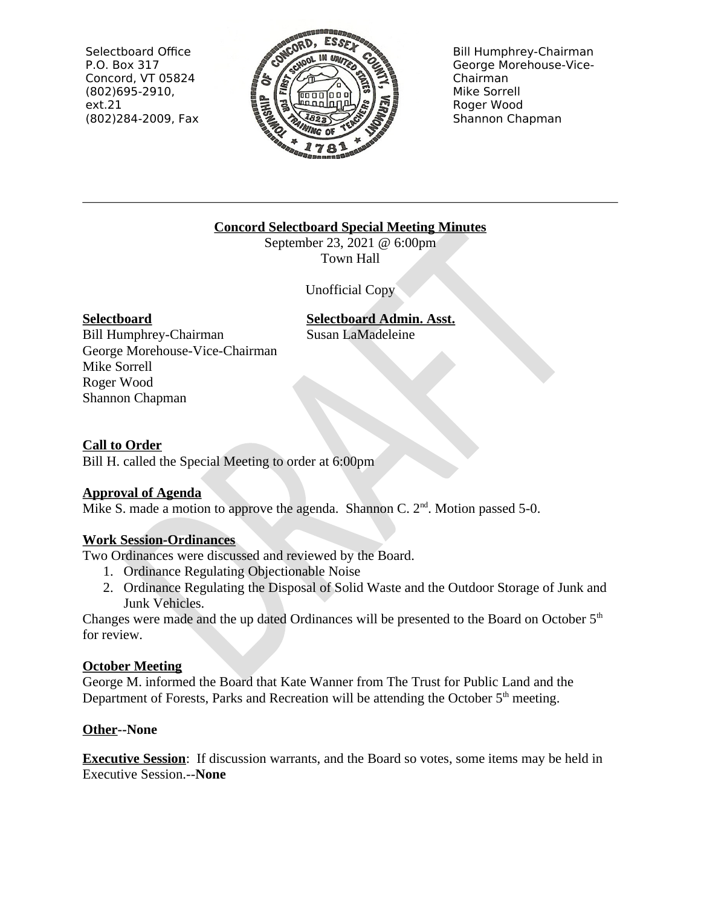Selectboard Office P.O. Box 317 Concord, VT 05824  $(802)695-2910,$  $ext.21$ (802)284-2009, Fax



**Bill Humphrey-Chairman** George Morehouse-Vice-Chairman Mike Sorrell Roger Wood Shannon Chapman

### **Concord Selectboard Special Meeting Minutes**

September 23, 2021 @ 6:00pm Town Hall

**Unofficial Copy** 

### **Selectboard**

**Selectboard Admin. Asst.** 

**Bill Humphrey-Chairman** George Morehouse-Vice-Chairman Mike Sorrell Roger Wood Shannon Chapman

Susan LaMadeleine

#### **Call to Order**

Bill H. called the Special Meeting to order at 6:00pm

### **Approval of Agenda**

Mike S. made a motion to approve the agenda. Shannon C.  $2<sup>nd</sup>$ . Motion passed 5-0.

### **Work Session-Ordinances**

Two Ordinances were discussed and reviewed by the Board.

- 1. Ordinance Regulating Objectionable Noise
- 2. Ordinance Regulating the Disposal of Solid Waste and the Outdoor Storage of Junk and Junk Vehicles.

Changes were made and the up dated Ordinances will be presented to the Board on October 5<sup>th</sup> for review.

# **October Meeting**

George M. informed the Board that Kate Wanner from The Trust for Public Land and the Department of Forests, Parks and Recreation will be attending the October 5<sup>th</sup> meeting.

# Other--None

**Executive Session:** If discussion warrants, and the Board so votes, some items may be held in **Executive Session.--None**